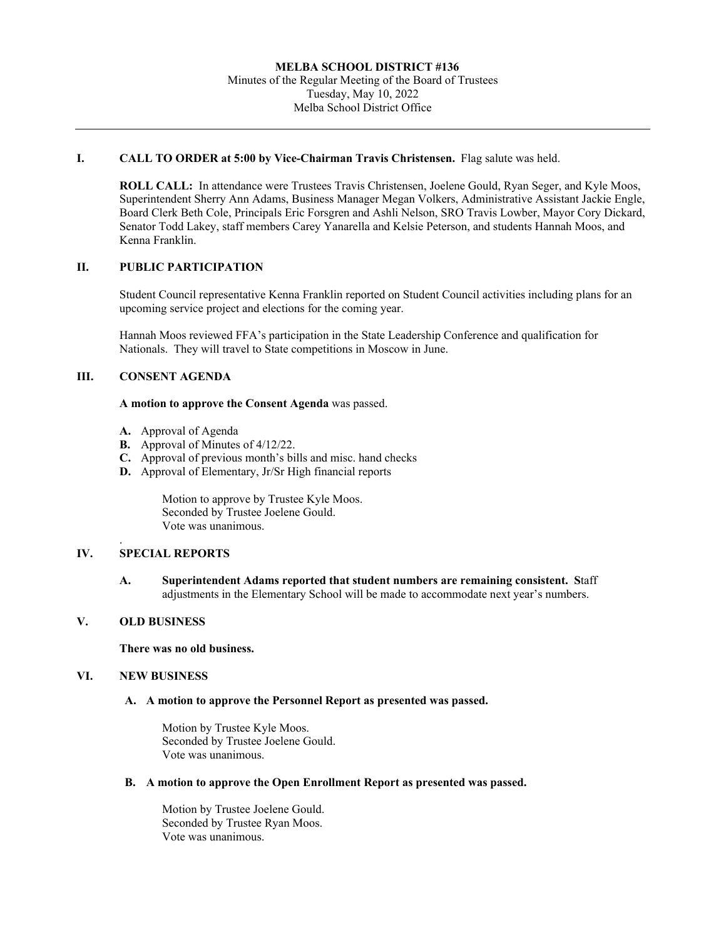## **I. CALL TO ORDER at 5:00 by Vice-Chairman Travis Christensen.** Flag salute was held.

**ROLL CALL:** In attendance were Trustees Travis Christensen, Joelene Gould, Ryan Seger, and Kyle Moos, Superintendent Sherry Ann Adams, Business Manager Megan Volkers, Administrative Assistant Jackie Engle, Board Clerk Beth Cole, Principals Eric Forsgren and Ashli Nelson, SRO Travis Lowber, Mayor Cory Dickard, Senator Todd Lakey, staff members Carey Yanarella and Kelsie Peterson, and students Hannah Moos, and Kenna Franklin.

## **II. PUBLIC PARTICIPATION**

Student Council representative Kenna Franklin reported on Student Council activities including plans for an upcoming service project and elections for the coming year.

Hannah Moos reviewed FFA's participation in the State Leadership Conference and qualification for Nationals. They will travel to State competitions in Moscow in June.

### **III. CONSENT AGENDA**

### **A motion to approve the Consent Agenda** was passed.

- **A.** Approval of Agenda
- **B.** Approval of Minutes of 4/12/22.
- **C.** Approval of previous month's bills and misc. hand checks
- **D.** Approval of Elementary, Jr/Sr High financial reports

 Motion to approve by Trustee Kyle Moos. Seconded by Trustee Joelene Gould. Vote was unanimous.

#### . **IV. SPECIAL REPORTS**

**A. Superintendent Adams reported that student numbers are remaining consistent. S**taff adjustments in the Elementary School will be made to accommodate next year's numbers.

## **V. OLD BUSINESS**

#### **There was no old business.**

#### **VI. NEW BUSINESS**

#### **A. A motion to approve the Personnel Report as presented was passed.**

Motion by Trustee Kyle Moos. Seconded by Trustee Joelene Gould. Vote was unanimous.

**B. A motion to approve the Open Enrollment Report as presented was passed.**

Motion by Trustee Joelene Gould. Seconded by Trustee Ryan Moos. Vote was unanimous.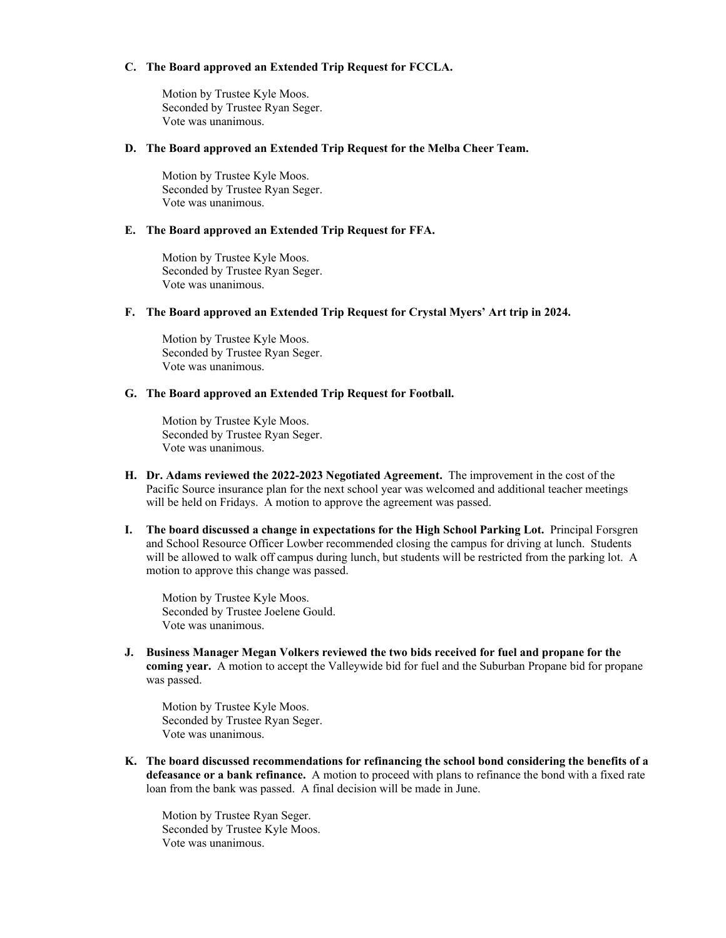### **C. The Board approved an Extended Trip Request for FCCLA.**

Motion by Trustee Kyle Moos. Seconded by Trustee Ryan Seger. Vote was unanimous.

### **D. The Board approved an Extended Trip Request for the Melba Cheer Team.**

Motion by Trustee Kyle Moos. Seconded by Trustee Ryan Seger. Vote was unanimous.

#### **E. The Board approved an Extended Trip Request for FFA.**

Motion by Trustee Kyle Moos. Seconded by Trustee Ryan Seger. Vote was unanimous.

#### **F. The Board approved an Extended Trip Request for Crystal Myers' Art trip in 2024.**

Motion by Trustee Kyle Moos. Seconded by Trustee Ryan Seger. Vote was unanimous.

#### **G. The Board approved an Extended Trip Request for Football.**

Motion by Trustee Kyle Moos. Seconded by Trustee Ryan Seger. Vote was unanimous.

- **H. Dr. Adams reviewed the 2022-2023 Negotiated Agreement.** The improvement in the cost of the Pacific Source insurance plan for the next school year was welcomed and additional teacher meetings will be held on Fridays. A motion to approve the agreement was passed.
- **I. The board discussed a change in expectations for the High School Parking Lot.** Principal Forsgren and School Resource Officer Lowber recommended closing the campus for driving at lunch. Students will be allowed to walk off campus during lunch, but students will be restricted from the parking lot. A motion to approve this change was passed.

Motion by Trustee Kyle Moos. Seconded by Trustee Joelene Gould. Vote was unanimous.

**J. Business Manager Megan Volkers reviewed the two bids received for fuel and propane for the coming year.** A motion to accept the Valleywide bid for fuel and the Suburban Propane bid for propane was passed.

Motion by Trustee Kyle Moos. Seconded by Trustee Ryan Seger. Vote was unanimous.

**K. The board discussed recommendations for refinancing the school bond considering the benefits of a defeasance or a bank refinance.** A motion to proceed with plans to refinance the bond with a fixed rate loan from the bank was passed. A final decision will be made in June.

Motion by Trustee Ryan Seger. Seconded by Trustee Kyle Moos. Vote was unanimous.